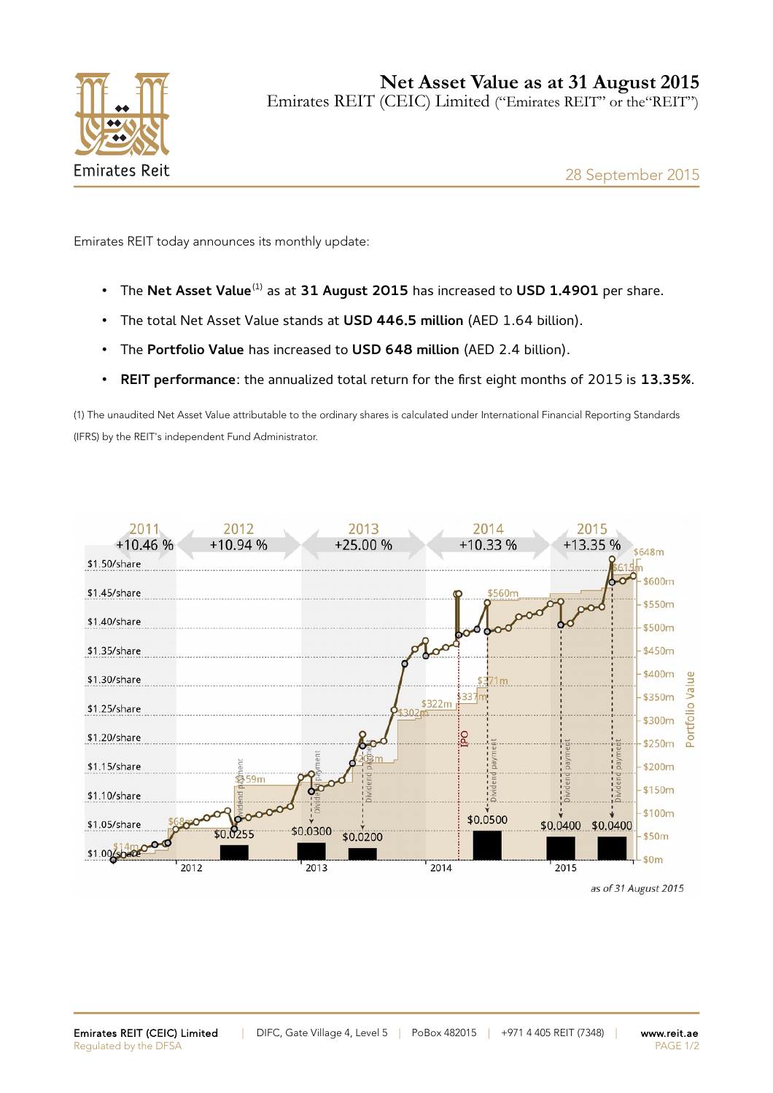

Emirates REIT today announces its monthly update:

- The **Net Asset Value**(1) as at **31 August 2015** has increased to **USD 1.4901** per share.
- The total Net Asset Value stands at **USD 446.5 million** (AED 1.64 billion).
- The **Portfolio Value** has increased to **USD 648 million** (AED 2.4 billion).
- **REIT performance**: the annualized total return for the first eight months of 2015 is **13.35%**.

(1) The unaudited Net Asset Value attributable to the ordinary shares is calculated under International Financial Reporting Standards (IFRS) by the REIT's independent Fund Administrator.